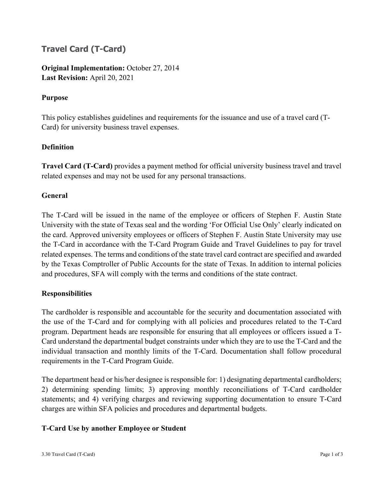# **Travel Card (T-Card)**

**Original Implementation:** October 27, 2014 **Last Revision:** April 20, 2021

# **Purpose**

This policy establishes guidelines and requirements for the issuance and use of a travel card (T-Card) for university business travel expenses.

# **Definition**

**Travel Card (T-Card)** provides a payment method for official university business travel and travel related expenses and may not be used for any personal transactions.

# **General**

The T-Card will be issued in the name of the employee or officers of Stephen F. Austin State University with the state of Texas seal and the wording 'For Official Use Only' clearly indicated on the card. Approved university employees or officers of Stephen F. Austin State University may use the T-Card in accordance with the T-Card Program Guide and Travel Guidelines to pay for travel related expenses. The terms and conditions of the state travel card contract are specified and awarded by the Texas Comptroller of Public Accounts for the state of Texas. In addition to internal policies and procedures, SFA will comply with the terms and conditions of the state contract.

## **Responsibilities**

The cardholder is responsible and accountable for the security and documentation associated with the use of the T-Card and for complying with all policies and procedures related to the T-Card program. Department heads are responsible for ensuring that all employees or officers issued a T-Card understand the departmental budget constraints under which they are to use the T-Card and the individual transaction and monthly limits of the T-Card. Documentation shall follow procedural requirements in the T-Card Program Guide.

The department head or his/her designee is responsible for: 1) designating departmental cardholders; 2) determining spending limits; 3) approving monthly reconciliations of T-Card cardholder statements; and 4) verifying charges and reviewing supporting documentation to ensure T-Card charges are within SFA policies and procedures and departmental budgets.

## **T-Card Use by another Employee or Student**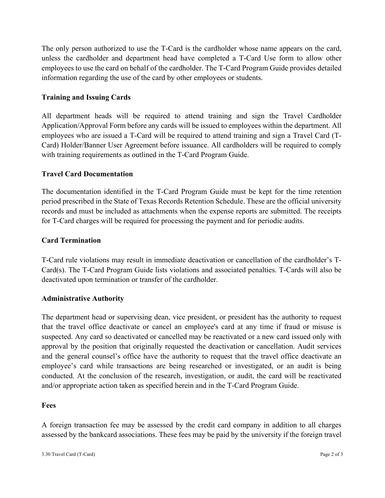The only person authorized to use the T-Card is the cardholder whose name appears on the card, unless the cardholder and department head have completed a T-Card Use form to allow other employees to use the card on behalf of the cardholder. The T-Card Program Guide provides detailed information regarding the use of the card by other employees or students.

# **Training and Issuing Cards**

All department heads will be required to attend training and sign the Travel Cardholder Application/Approval Form before any cards will be issued to employees within the department. All employees who are issued a T-Card will be required to attend training and sign a Travel Card (T-Card) Holder/Banner User Agreement before issuance. All cardholders will be required to comply with training requirements as outlined in the T-Card Program Guide.

## **Travel Card Documentation**

The documentation identified in the T-Card Program Guide must be kept for the time retention period prescribed in the State of Texas Records Retention Schedule. These are the official university records and must be included as attachments when the expense reports are submitted. The receipts for T-Card charges will be required for processing the payment and for periodic audits.

## **Card Termination**

T-Card rule violations may result in immediate deactivation or cancellation of the cardholder's T-Card(s). The T-Card Program Guide lists violations and associated penalties. T-Cards will also be deactivated upon termination or transfer of the cardholder.

#### **Administrative Authority**

The department head or supervising dean, vice president, or president has the authority to request that the travel office deactivate or cancel an employee's card at any time if fraud or misuse is suspected. Any card so deactivated or cancelled may be reactivated or a new card issued only with approval by the position that originally requested the deactivation or cancellation. Audit services and the general counsel's office have the authority to request that the travel office deactivate an employee's card while transactions are being researched or investigated, or an audit is being conducted. At the conclusion of the research, investigation, or audit, the card will be reactivated and/or appropriate action taken as specified herein and in the T-Card Program Guide.

#### **Fees**

A foreign transaction fee may be assessed by the credit card company in addition to all charges assessed by the bankcard associations. These fees may be paid by the university if the foreign travel